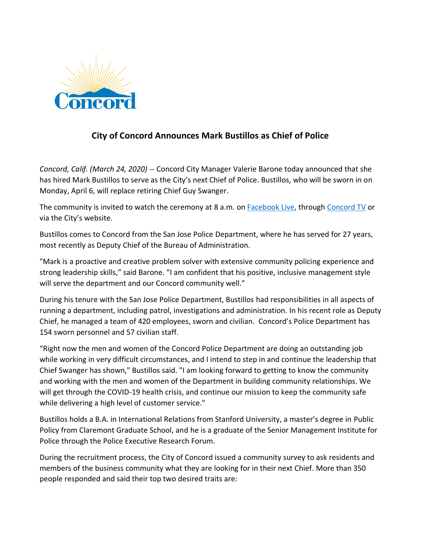

## **City of Concord Announces Mark Bustillos as Chief of Police**

*Concord, Calif. (March 24, 2020) --* Concord City Manager Valerie Barone today announced that she has hired Mark Bustillos to serve as the City's next Chief of Police. Bustillos, who will be sworn in on Monday, April 6, will replace retiring Chief Guy Swanger.

The community is invited to watch the ceremony at 8 a.m. on **Facebook Live**, through [Concord TV](http://cityofconcord.org/623/Videos-TV) or via the City's website.

Bustillos comes to Concord from the San Jose Police Department, where he has served for 27 years, most recently as Deputy Chief of the Bureau of Administration.

"Mark is a proactive and creative problem solver with extensive community policing experience and strong leadership skills," said Barone. "I am confident that his positive, inclusive management style will serve the department and our Concord community well."

During his tenure with the San Jose Police Department, Bustillos had responsibilities in all aspects of running a department, including patrol, investigations and administration. In his recent role as Deputy Chief, he managed a team of 420 employees, sworn and civilian. Concord's Police Department has 154 sworn personnel and 57 civilian staff.

"Right now the men and women of the Concord Police Department are doing an outstanding job while working in very difficult circumstances, and I intend to step in and continue the leadership that Chief Swanger has shown," Bustillos said. "I am looking forward to getting to know the community and working with the men and women of the Department in building community relationships. We will get through the COVID-19 health crisis, and continue our mission to keep the community safe while delivering a high level of customer service."

Bustillos holds a B.A. in International Relations from Stanford University, a master's degree in Public Policy from Claremont Graduate School, and he is a graduate of the Senior Management Institute for Police through the Police Executive Research Forum.

During the recruitment process, the City of Concord issued a community survey to ask residents and members of the business community what they are looking for in their next Chief. More than 350 people responded and said their top two desired traits are: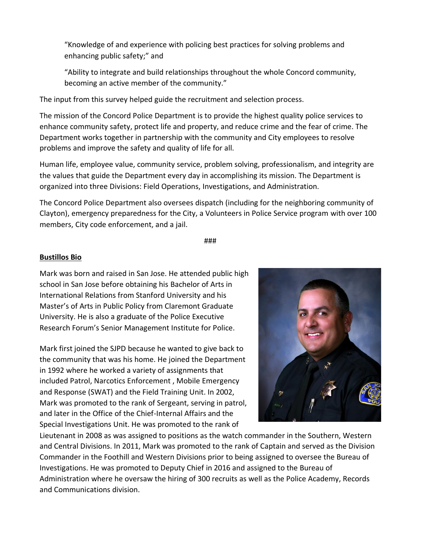"Knowledge of and experience with policing best practices for solving problems and enhancing public safety;" and

"Ability to integrate and build relationships throughout the whole Concord community, becoming an active member of the community."

The input from this survey helped guide the recruitment and selection process.

The mission of the Concord Police Department is to provide the highest quality police services to enhance community safety, protect life and property, and reduce crime and the fear of crime. The Department works together in partnership with the community and City employees to resolve problems and improve the safety and quality of life for all.

Human life, employee value, community service, problem solving, professionalism, and integrity are the values that guide the Department every day in accomplishing its mission. The Department is organized into three Divisions: Field Operations, Investigations, and Administration.

The Concord Police Department also oversees dispatch (including for the neighboring community of Clayton), emergency preparedness for the City, a Volunteers in Police Service program with over 100 members, City code enforcement, and a jail.

###

## **Bustillos Bio**

Mark was born and raised in San Jose. He attended public high school in San Jose before obtaining his Bachelor of Arts in International Relations from Stanford University and his Master's of Arts in Public Policy from Claremont Graduate University. He is also a graduate of the Police Executive Research Forum's Senior Management Institute for Police.

Mark first joined the SJPD because he wanted to give back to the community that was his home. He joined the Department in 1992 where he worked a variety of assignments that included Patrol, Narcotics Enforcement , Mobile Emergency and Response (SWAT) and the Field Training Unit. In 2002, Mark was promoted to the rank of Sergeant, serving in patrol, and later in the Office of the Chief-Internal Affairs and the Special Investigations Unit. He was promoted to the rank of



Lieutenant in 2008 as was assigned to positions as the watch commander in the Southern, Western and Central Divisions. In 2011, Mark was promoted to the rank of Captain and served as the Division Commander in the Foothill and Western Divisions prior to being assigned to oversee the Bureau of Investigations. He was promoted to Deputy Chief in 2016 and assigned to the Bureau of Administration where he oversaw the hiring of 300 recruits as well as the Police Academy, Records and Communications division.